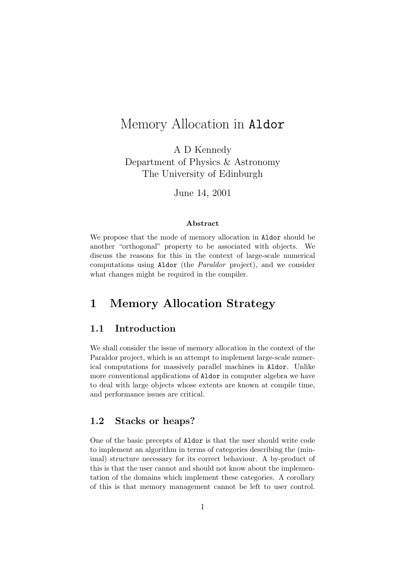# Memory Allocation in Aldor

A D Kennedy Department of Physics & Astronomy The University of Edinburgh

June 14, 2001

#### Abstract

We propose that the mode of memory allocation in Aldor should be another "orthogonal" property to be associated with objects. We discuss the reasons for this in the context of large-scale numerical computations using Aldor (the Paraldor project), and we consider what changes might be required in the compiler.

## 1 Memory Allocation Strategy

#### 1.1 Introduction

We shall consider the issue of memory allocation in the context of the Paraldor project, which is an attempt to implement large-scale numerical computations for massively parallel machines in Aldor. Unlike more conventional applications of Aldor in computer algebra we have to deal with large objects whose extents are known at compile time, and performance issues are critical.

### 1.2 Stacks or heaps?

One of the basic precepts of Aldor is that the user should write code to implement an algorithm in terms of categories describing the (minimal) structure necessary for its correct behaviour. A by-product of this is that the user cannot and should not know about the implementation of the domains which implement these categories. A corollary of this is that memory management cannot be left to user control.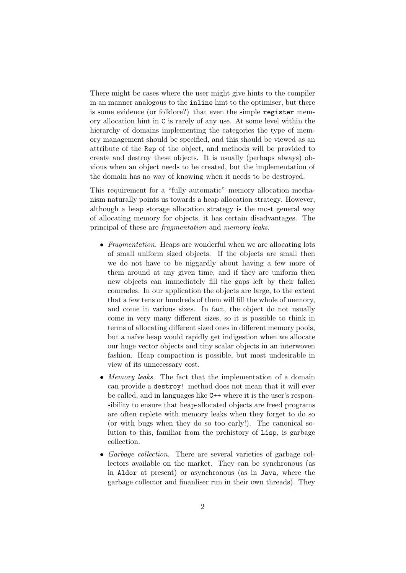There might be cases where the user might give hints to the compiler in an manner analogous to the inline hint to the optimiser, but there is some evidence (or folklore?) that even the simple register memory allocation hint in C is rarely of any use. At some level within the hierarchy of domains implementing the categories the type of memory management should be specified, and this should be viewed as an attribute of the Rep of the object, and methods will be provided to create and destroy these objects. It is usually (perhaps always) obvious when an object needs to be created, but the implementation of the domain has no way of knowing when it needs to be destroyed.

This requirement for a "fully automatic" memory allocation mechanism naturally points us towards a heap allocation strategy. However, although a heap storage allocation strategy is the most general way of allocating memory for objects, it has certain disadvantages. The principal of these are fragmentation and memory leaks.

- Fragmentation. Heaps are wonderful when we are allocating lots of small uniform sized objects. If the objects are small then we do not have to be niggardly about having a few more of them around at any given time, and if they are uniform then new objects can immediately fill the gaps left by their fallen comrades. In our application the objects are large, to the extent that a few tens or hundreds of them will fill the whole of memory, and come in various sizes. In fact, the object do not usually come in very many different sizes, so it is possible to think in terms of allocating different sized ones in different memory pools, but a naïve heap would rapidly get indigestion when we allocate our huge vector objects and tiny scalar objects in an interwoven fashion. Heap compaction is possible, but most undesirable in view of its unnecessary cost.
- Memory leaks. The fact that the implementation of a domain can provide a destroy! method does not mean that it will ever be called, and in languages like C++ where it is the user's responsibility to ensure that heap-allocated objects are freed programs are often replete with memory leaks when they forget to do so (or with bugs when they do so too early!). The canonical solution to this, familiar from the prehistory of Lisp, is garbage collection.
- Garbage collection. There are several varieties of garbage collectors available on the market. They can be synchronous (as in Aldor at present) or asynchronous (as in Java, where the garbage collector and finanliser run in their own threads). They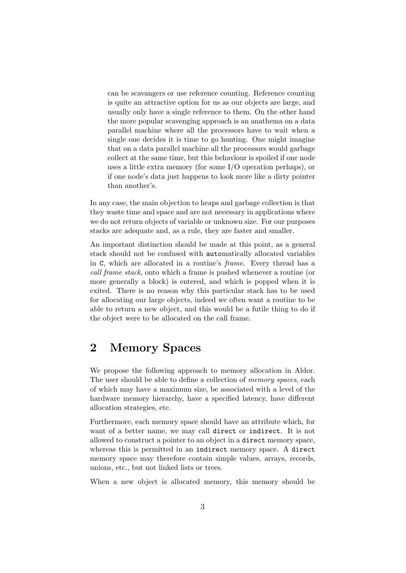can be scavangers or use reference counting. Reference counting is quite an attractive option for us as our objects are large, and usually only have a single reference to them. On the other hand the more popular scavenging approach is an anathema on a data parallel machine where all the processors have to wait when a single one decides it is time to go hunting. One might imagine that on a data parallel machine all the processors would garbage collect at the same time, but this behaviour is spoiled if one node uses a little extra memory (for some I/O operation perhaps), or if one node's data just happens to look more like a dirty pointer than another's.

In any case, the main objection to heaps and garbage collection is that they waste time and space and are not necessary in applications where we do not return objects of variable or unknown size. For our purposes stacks are adequate and, as a rule, they are faster and smaller.

An important distinction should be made at this point, as a general stack should not be confused with automatically allocated variables in C, which are allocated in a routine's frame. Every thread has a call frame stack, onto which a frame is pushed whenever a routine (or more generally a block) is entered, and which is popped when it is exited. There is no reason why this particular stack has to be used for allocating our large objects, indeed we often want a routine to be able to return a new object, and this would be a futile thing to do if the object were to be allocated on the call frame.

## 2 Memory Spaces

We propose the following approach to memory allocation in Aldor. The user should be able to define a collection of *memory spaces*, each of which may have a maximum size, be associated with a level of the hardware memory hierarchy, have a specified latency, have different allocation strategies, etc.

Furthermore, each memory space should have an attribute which, for want of a better name, we may call direct or indirect. It is not allowed to construct a pointer to an object in a direct memory space, whereas this is permitted in an indirect memory space. A direct memory space may therefore contain simple values, arrays, records, unions, etc., but not linked lists or trees.

When a new object is allocated memory, this memory should be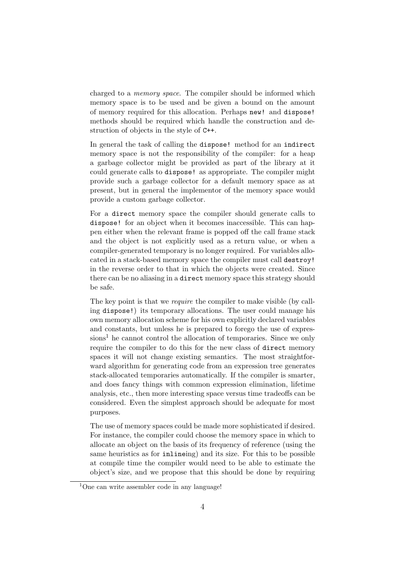charged to a memory space. The compiler should be informed which memory space is to be used and be given a bound on the amount of memory required for this allocation. Perhaps new! and dispose! methods should be required which handle the construction and destruction of objects in the style of C++.

In general the task of calling the dispose! method for an indirect memory space is not the responsibility of the compiler: for a heap a garbage collector might be provided as part of the library at it could generate calls to dispose! as appropriate. The compiler might provide such a garbage collector for a default memory space as at present, but in general the implementor of the memory space would provide a custom garbage collector.

For a direct memory space the compiler should generate calls to dispose! for an object when it becomes inaccessible. This can happen either when the relevant frame is popped off the call frame stack and the object is not explicitly used as a return value, or when a compiler-generated temporary is no longer required. For variables allocated in a stack-based memory space the compiler must call destroy! in the reverse order to that in which the objects were created. Since there can be no aliasing in a direct memory space this strategy should be safe.

The key point is that we require the compiler to make visible (by calling dispose!) its temporary allocations. The user could manage his own memory allocation scheme for his own explicitly declared variables and constants, but unless he is prepared to forego the use of expressions<sup>1</sup> he cannot control the allocation of temporaries. Since we only require the compiler to do this for the new class of direct memory spaces it will not change existing semantics. The most straightforward algorithm for generating code from an expression tree generates stack-allocated temporaries automatically. If the compiler is smarter, and does fancy things with common expression elimination, lifetime analysis, etc., then more interesting space versus time tradeoffs can be considered. Even the simplest approach should be adequate for most purposes.

The use of memory spaces could be made more sophisticated if desired. For instance, the compiler could choose the memory space in which to allocate an object on the basis of its frequency of reference (using the same heuristics as for inlineing) and its size. For this to be possible at compile time the compiler would need to be able to estimate the object's size, and we propose that this should be done by requiring

<sup>&</sup>lt;sup>1</sup>One can write assembler code in any language!